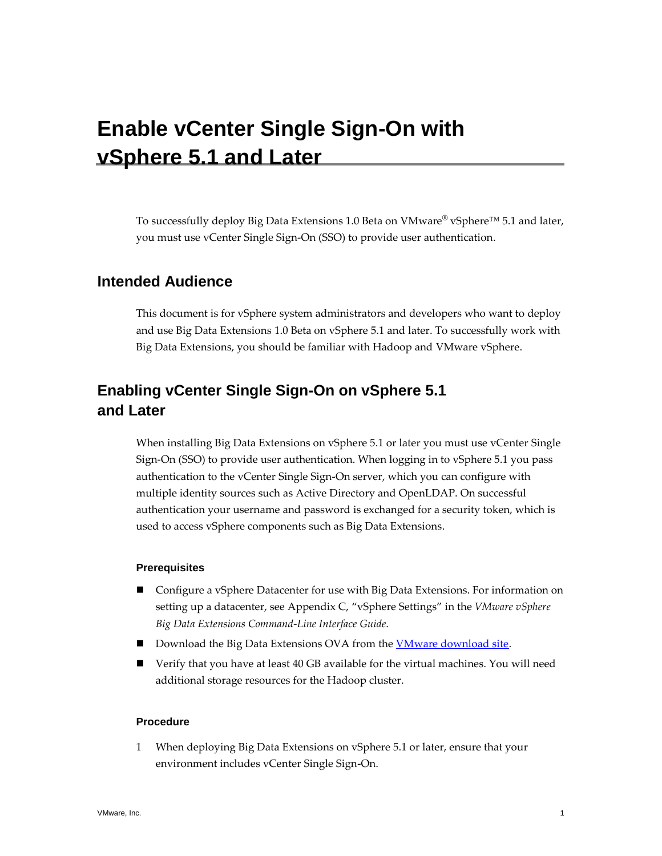# **Enable vCenter Single Sign-On with vSphere 5.1 and Later**

To successfully deploy Big Data Extensions 1.0 Beta on VMware<sup>®</sup> vSphere<sup>™</sup> 5.1 and later, you must use vCenter Single Sign-On (SSO) to provide user authentication.

### **Intended Audience**

This document is for vSphere system administrators and developers who want to deploy and use Big Data Extensions 1.0 Beta on vSphere 5.1 and later. To successfully work with Big Data Extensions, you should be familiar with Hadoop and VMware vSphere.

## **Enabling vCenter Single Sign-On on vSphere 5.1 and Later**

When installing Big Data Extensions on vSphere 5.1 or later you must use vCenter Single Sign-On (SSO) to provide user authentication. When logging in to vSphere 5.1 you pass authentication to the vCenter Single Sign-On server, which you can configure with multiple identity sources such as Active Directory and OpenLDAP. On successful authentication your username and password is exchanged for a security token, which is used to access vSphere components such as Big Data Extensions.

#### **Prerequisites**

- Configure a vSphere Datacenter for use with Big Data Extensions. For information on setting up a datacenter, see Appendix C, "vSphere Settings" in the *VMware vSphere Big Data Extensions Command-Line Interface Guide*.
- Download the Big Data Extensions OVA from the **VMware download site**.
- Verify that you have at least 40 GB available for the virtual machines. You will need additional storage resources for the Hadoop cluster.

#### **Procedure**

1 When deploying Big Data Extensions on vSphere 5.1 or later, ensure that your environment includes vCenter Single Sign-On.